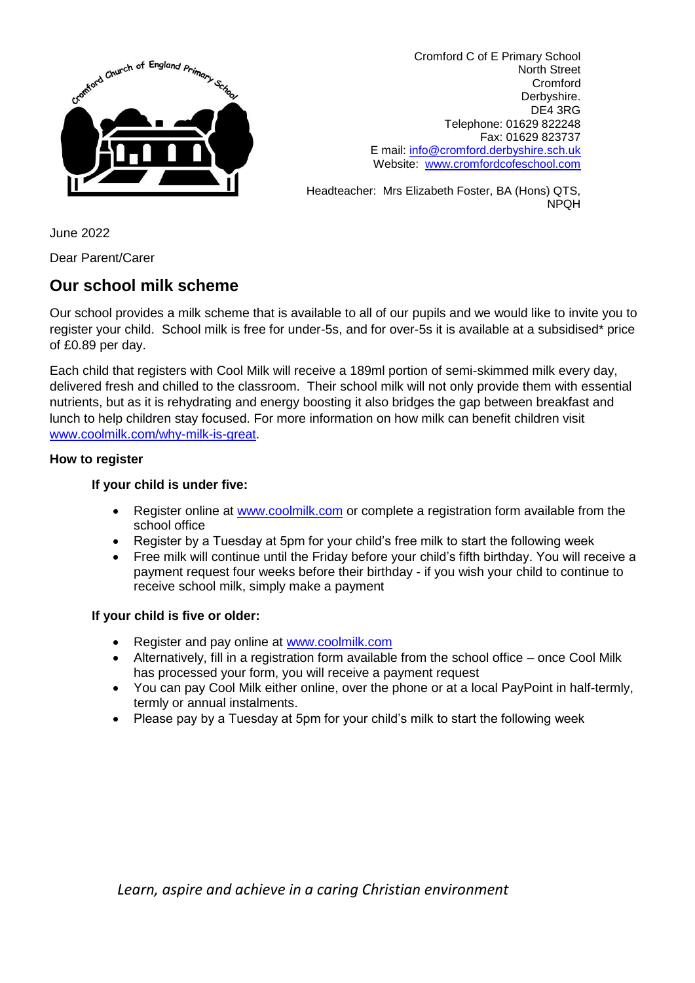

Cromford C of E Primary School North Street Cromford Derbyshire. DE4 3RG Telephone: 01629 822248 Fax: 01629 823737 E mail: [info@cromford.derbyshire.sch.uk](mailto:info@cromford.derbyshire.sch.uk) Website: [www.cromfordcofeschool.com](http://www.cromfordcofeschool.com/)

Headteacher: Mrs Elizabeth Foster, BA (Hons) QTS, NPQH

June 2022

Dear Parent/Carer

## **Our school milk scheme**

Our school provides a milk scheme that is available to all of our pupils and we would like to invite you to register your child. School milk is free for under-5s, and for over-5s it is available at a subsidised\* price of £0.89 per day.

Each child that registers with Cool Milk will receive a 189ml portion of semi-skimmed milk every day, delivered fresh and chilled to the classroom. Their school milk will not only provide them with essential nutrients, but as it is rehydrating and energy boosting it also bridges the gap between breakfast and lunch to help children stay focused. For more information on how milk can benefit children visit [www.coolmilk.com/why-milk-is-great.](http://www.coolmilk.com/why-milk-is-great)

## **How to register**

## **If your child is under five:**

- Register online at [www.coolmilk.com](http://www.coolmilk.com/) or complete a registration form available from the school office
- Register by a Tuesday at 5pm for your child's free milk to start the following week
- Free milk will continue until the Friday before your child's fifth birthday. You will receive a payment request four weeks before their birthday - if you wish your child to continue to receive school milk, simply make a payment

## **If your child is five or older:**

- Register and pay online at [www.coolmilk.com](http://www.coolmilk.com/)
- Alternatively, fill in a registration form available from the school office once Cool Milk has processed your form, you will receive a payment request
- You can pay Cool Milk either online, over the phone or at a local PayPoint in half-termly, termly or annual instalments.
- Please pay by a Tuesday at 5pm for your child's milk to start the following week

*Learn, aspire and achieve in a caring Christian environment*